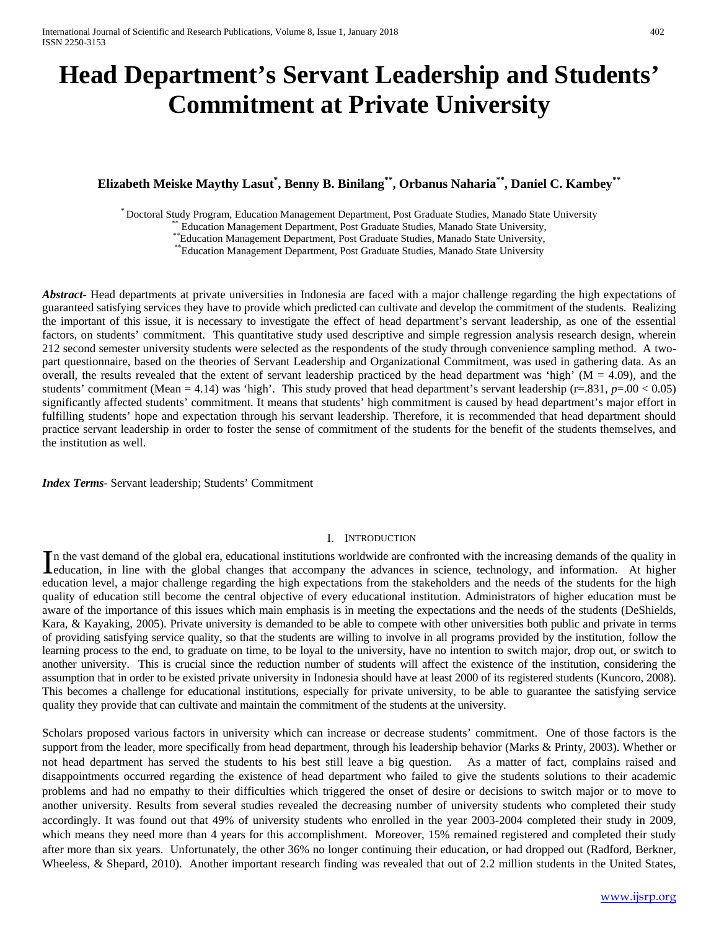# **Head Department's Servant Leadership and Students' Commitment at Private University**

## **Elizabeth Meiske Maythy Lasut\* , Benny B. Binilang\*\*, Orbanus Naharia\*\*, Daniel C. Kambey\*\***

\* Doctoral Study Program, Education Management Department, Post Graduate Studies, Manado State University<br>
\*\* Education Management Department, Post Graduate Studies, Manado State University,<br>
\*\* Education Management Depart

*Abstract***-** Head departments at private universities in Indonesia are faced with a major challenge regarding the high expectations of guaranteed satisfying services they have to provide which predicted can cultivate and develop the commitment of the students. Realizing the important of this issue, it is necessary to investigate the effect of head department's servant leadership, as one of the essential factors, on students' commitment. This quantitative study used descriptive and simple regression analysis research design, wherein 212 second semester university students were selected as the respondents of the study through convenience sampling method. A twopart questionnaire, based on the theories of Servant Leadership and Organizational Commitment, was used in gathering data. As an overall, the results revealed that the extent of servant leadership practiced by the head department was 'high' ( $M = 4.09$ ), and the students' commitment (Mean = 4.14) was 'high'. This study proved that head department's servant leadership  $(r=.831, p=.00 < 0.05)$ significantly affected students' commitment. It means that students' high commitment is caused by head department's major effort in fulfilling students' hope and expectation through his servant leadership. Therefore, it is recommended that head department should practice servant leadership in order to foster the sense of commitment of the students for the benefit of the students themselves, and the institution as well.

*Index Terms*- Servant leadership; Students' Commitment

#### I. INTRODUCTION

n the vast demand of the global era, educational institutions worldwide are confronted with the increasing demands of the quality in In the vast demand of the global era, educational institutions worldwide are confronted with the increasing demands of the quality in education, in line with the global changes that accompany the advances in science, techn education level, a major challenge regarding the high expectations from the stakeholders and the needs of the students for the high quality of education still become the central objective of every educational institution. Administrators of higher education must be aware of the importance of this issues which main emphasis is in meeting the expectations and the needs of the students (DeShields, Kara, & Kayaking, 2005). Private university is demanded to be able to compete with other universities both public and private in terms of providing satisfying service quality, so that the students are willing to involve in all programs provided by the institution, follow the learning process to the end, to graduate on time, to be loyal to the university, have no intention to switch major, drop out, or switch to another university. This is crucial since the reduction number of students will affect the existence of the institution, considering the assumption that in order to be existed private university in Indonesia should have at least 2000 of its registered students (Kuncoro, 2008). This becomes a challenge for educational institutions, especially for private university, to be able to guarantee the satisfying service quality they provide that can cultivate and maintain the commitment of the students at the university.

Scholars proposed various factors in university which can increase or decrease students' commitment. One of those factors is the support from the leader, more specifically from head department, through his leadership behavior (Marks & Printy, 2003). Whether or not head department has served the students to his best still leave a big question. As a matter of fact, complains raised and disappointments occurred regarding the existence of head department who failed to give the students solutions to their academic problems and had no empathy to their difficulties which triggered the onset of desire or decisions to switch major or to move to another university. Results from several studies revealed the decreasing number of university students who completed their study accordingly. It was found out that 49% of university students who enrolled in the year 2003-2004 completed their study in 2009, which means they need more than 4 years for this accomplishment. Moreover, 15% remained registered and completed their study after more than six years. Unfortunately, the other 36% no longer continuing their education, or had dropped out (Radford, Berkner, Wheeless, & Shepard, 2010). Another important research finding was revealed that out of 2.2 million students in the United States,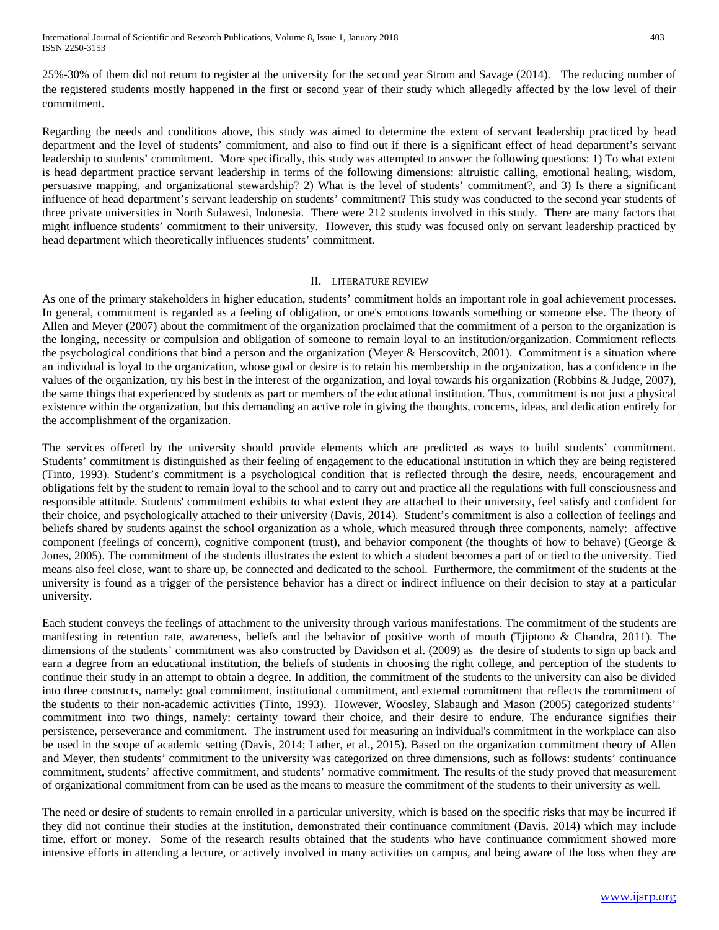International Journal of Scientific and Research Publications, Volume 8, Issue 1, January 2018 403 ISSN 2250-3153

25%-30% of them did not return to register at the university for the second year Strom and Savage (2014). The reducing number of the registered students mostly happened in the first or second year of their study which allegedly affected by the low level of their commitment.

Regarding the needs and conditions above, this study was aimed to determine the extent of servant leadership practiced by head department and the level of students' commitment, and also to find out if there is a significant effect of head department's servant leadership to students' commitment. More specifically, this study was attempted to answer the following questions: 1) To what extent is head department practice servant leadership in terms of the following dimensions: altruistic calling, emotional healing, wisdom, persuasive mapping, and organizational stewardship? 2) What is the level of students' commitment?, and 3) Is there a significant influence of head department's servant leadership on students' commitment? This study was conducted to the second year students of three private universities in North Sulawesi, Indonesia. There were 212 students involved in this study. There are many factors that might influence students' commitment to their university. However, this study was focused only on servant leadership practiced by head department which theoretically influences students' commitment.

#### II. LITERATURE REVIEW

As one of the primary stakeholders in higher education, students' commitment holds an important role in goal achievement processes. In general, commitment is regarded as a feeling of obligation, or one's emotions towards something or someone else. The theory of Allen and Meyer (2007) about the commitment of the organization proclaimed that the commitment of a person to the organization is the longing, necessity or compulsion and obligation of someone to remain loyal to an institution/organization. Commitment reflects the psychological conditions that bind a person and the organization (Meyer & Herscovitch, 2001). Commitment is a situation where an individual is loyal to the organization, whose goal or desire is to retain his membership in the organization, has a confidence in the values of the organization, try his best in the interest of the organization, and loyal towards his organization (Robbins & Judge, 2007), the same things that experienced by students as part or members of the educational institution. Thus, commitment is not just a physical existence within the organization, but this demanding an active role in giving the thoughts, concerns, ideas, and dedication entirely for the accomplishment of the organization.

The services offered by the university should provide elements which are predicted as ways to build students' commitment. Students' commitment is distinguished as their feeling of engagement to the educational institution in which they are being registered (Tinto, 1993). Student's commitment is a psychological condition that is reflected through the desire, needs, encouragement and obligations felt by the student to remain loyal to the school and to carry out and practice all the regulations with full consciousness and responsible attitude. Students' commitment exhibits to what extent they are attached to their university, feel satisfy and confident for their choice, and psychologically attached to their university (Davis, 2014). Student's commitment is also a collection of feelings and beliefs shared by students against the school organization as a whole, which measured through three components, namely: affective component (feelings of concern), cognitive component (trust), and behavior component (the thoughts of how to behave) (George & Jones, 2005). The commitment of the students illustrates the extent to which a student becomes a part of or tied to the university. Tied means also feel close, want to share up, be connected and dedicated to the school. Furthermore, the commitment of the students at the university is found as a trigger of the persistence behavior has a direct or indirect influence on their decision to stay at a particular university.

Each student conveys the feelings of attachment to the university through various manifestations. The commitment of the students are manifesting in retention rate, awareness, beliefs and the behavior of positive worth of mouth (Tjiptono & Chandra, 2011). The dimensions of the students' commitment was also constructed by Davidson et al. (2009) as the desire of students to sign up back and earn a degree from an educational institution, the beliefs of students in choosing the right college, and perception of the students to continue their study in an attempt to obtain a degree. In addition, the commitment of the students to the university can also be divided into three constructs, namely: goal commitment, institutional commitment, and external commitment that reflects the commitment of the students to their non-academic activities (Tinto, 1993). However, Woosley, Slabaugh and Mason (2005) categorized students' commitment into two things, namely: certainty toward their choice, and their desire to endure. The endurance signifies their persistence, perseverance and commitment. The instrument used for measuring an individual's commitment in the workplace can also be used in the scope of academic setting (Davis, 2014; Lather, et al., 2015). Based on the organization commitment theory of Allen and Meyer, then students' commitment to the university was categorized on three dimensions, such as follows: students' continuance commitment, students' affective commitment, and students' normative commitment. The results of the study proved that measurement of organizational commitment from can be used as the means to measure the commitment of the students to their university as well.

The need or desire of students to remain enrolled in a particular university, which is based on the specific risks that may be incurred if they did not continue their studies at the institution, demonstrated their continuance commitment (Davis, 2014) which may include time, effort or money. Some of the research results obtained that the students who have continuance commitment showed more intensive efforts in attending a lecture, or actively involved in many activities on campus, and being aware of the loss when they are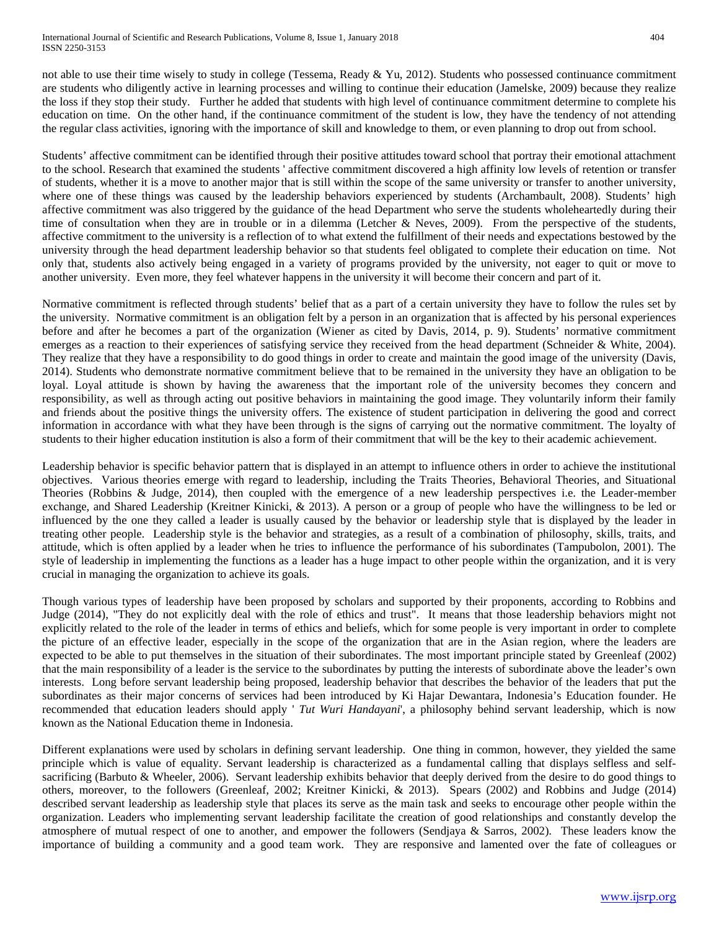not able to use their time wisely to study in college (Tessema, Ready & Yu, 2012). Students who possessed continuance commitment are students who diligently active in learning processes and willing to continue their education (Jamelske, 2009) because they realize the loss if they stop their study. Further he added that students with high level of continuance commitment determine to complete his education on time. On the other hand, if the continuance commitment of the student is low, they have the tendency of not attending the regular class activities, ignoring with the importance of skill and knowledge to them, or even planning to drop out from school.

Students' affective commitment can be identified through their positive attitudes toward school that portray their emotional attachment to the school. Research that examined the students ' affective commitment discovered a high affinity low levels of retention or transfer of students, whether it is a move to another major that is still within the scope of the same university or transfer to another university, where one of these things was caused by the leadership behaviors experienced by students (Archambault, 2008). Students' high affective commitment was also triggered by the guidance of the head Department who serve the students wholeheartedly during their time of consultation when they are in trouble or in a dilemma (Letcher & Neves, 2009). From the perspective of the students, affective commitment to the university is a reflection of to what extend the fulfillment of their needs and expectations bestowed by the university through the head department leadership behavior so that students feel obligated to complete their education on time. Not only that, students also actively being engaged in a variety of programs provided by the university, not eager to quit or move to another university. Even more, they feel whatever happens in the university it will become their concern and part of it.

Normative commitment is reflected through students' belief that as a part of a certain university they have to follow the rules set by the university. Normative commitment is an obligation felt by a person in an organization that is affected by his personal experiences before and after he becomes a part of the organization (Wiener as cited by Davis, 2014, p. 9). Students' normative commitment emerges as a reaction to their experiences of satisfying service they received from the head department (Schneider & White, 2004). They realize that they have a responsibility to do good things in order to create and maintain the good image of the university (Davis, 2014). Students who demonstrate normative commitment believe that to be remained in the university they have an obligation to be loyal. Loyal attitude is shown by having the awareness that the important role of the university becomes they concern and responsibility, as well as through acting out positive behaviors in maintaining the good image. They voluntarily inform their family and friends about the positive things the university offers. The existence of student participation in delivering the good and correct information in accordance with what they have been through is the signs of carrying out the normative commitment. The loyalty of students to their higher education institution is also a form of their commitment that will be the key to their academic achievement.

Leadership behavior is specific behavior pattern that is displayed in an attempt to influence others in order to achieve the institutional objectives. Various theories emerge with regard to leadership, including the Traits Theories, Behavioral Theories, and Situational Theories (Robbins & Judge, 2014), then coupled with the emergence of a new leadership perspectives i.e. the Leader-member exchange, and Shared Leadership (Kreitner Kinicki, & 2013). A person or a group of people who have the willingness to be led or influenced by the one they called a leader is usually caused by the behavior or leadership style that is displayed by the leader in treating other people. Leadership style is the behavior and strategies, as a result of a combination of philosophy, skills, traits, and attitude, which is often applied by a leader when he tries to influence the performance of his subordinates (Tampubolon, 2001). The style of leadership in implementing the functions as a leader has a huge impact to other people within the organization, and it is very crucial in managing the organization to achieve its goals.

Though various types of leadership have been proposed by scholars and supported by their proponents, according to Robbins and Judge (2014), "They do not explicitly deal with the role of ethics and trust". It means that those leadership behaviors might not explicitly related to the role of the leader in terms of ethics and beliefs, which for some people is very important in order to complete the picture of an effective leader, especially in the scope of the organization that are in the Asian region, where the leaders are expected to be able to put themselves in the situation of their subordinates. The most important principle stated by Greenleaf (2002) that the main responsibility of a leader is the service to the subordinates by putting the interests of subordinate above the leader's own interests. Long before servant leadership being proposed, leadership behavior that describes the behavior of the leaders that put the subordinates as their major concerns of services had been introduced by Ki Hajar Dewantara, Indonesia's Education founder. He recommended that education leaders should apply ' *Tut Wuri Handayani*', a philosophy behind servant leadership, which is now known as the National Education theme in Indonesia.

Different explanations were used by scholars in defining servant leadership. One thing in common, however, they yielded the same principle which is value of equality. Servant leadership is characterized as a fundamental calling that displays selfless and selfsacrificing (Barbuto & Wheeler, 2006). Servant leadership exhibits behavior that deeply derived from the desire to do good things to others, moreover, to the followers (Greenleaf, 2002; Kreitner Kinicki, & 2013). Spears (2002) and Robbins and Judge (2014) described servant leadership as leadership style that places its serve as the main task and seeks to encourage other people within the organization. Leaders who implementing servant leadership facilitate the creation of good relationships and constantly develop the atmosphere of mutual respect of one to another, and empower the followers (Sendjaya & Sarros, 2002). These leaders know the importance of building a community and a good team work. They are responsive and lamented over the fate of colleagues or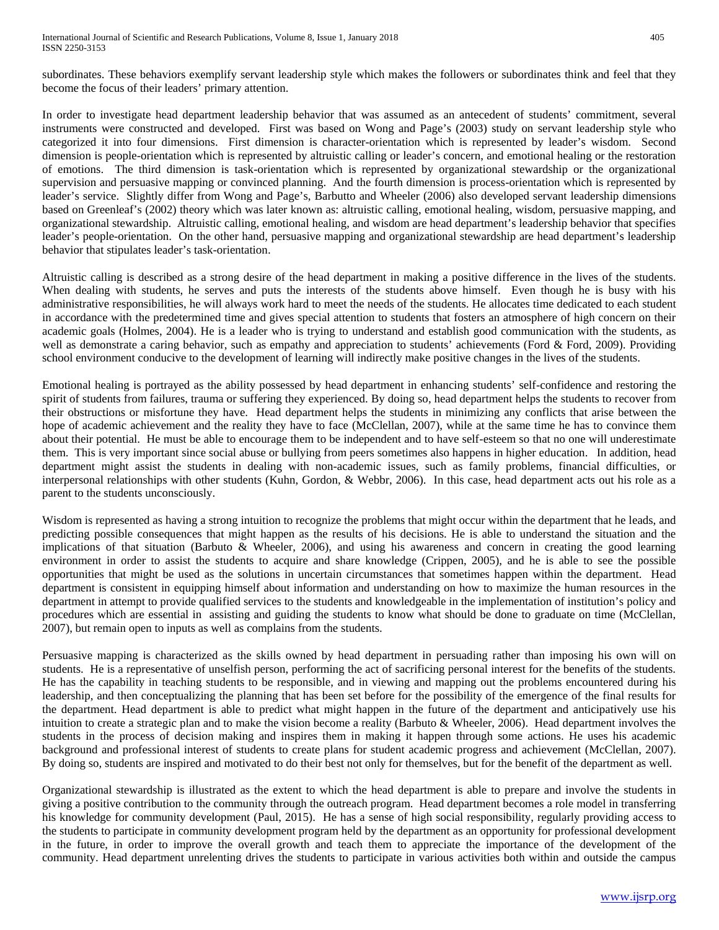subordinates. These behaviors exemplify servant leadership style which makes the followers or subordinates think and feel that they become the focus of their leaders' primary attention.

In order to investigate head department leadership behavior that was assumed as an antecedent of students' commitment, several instruments were constructed and developed. First was based on Wong and Page's (2003) study on servant leadership style who categorized it into four dimensions. First dimension is character-orientation which is represented by leader's wisdom. Second dimension is people-orientation which is represented by altruistic calling or leader's concern, and emotional healing or the restoration of emotions. The third dimension is task-orientation which is represented by organizational stewardship or the organizational supervision and persuasive mapping or convinced planning. And the fourth dimension is process-orientation which is represented by leader's service. Slightly differ from Wong and Page's, Barbutto and Wheeler (2006) also developed servant leadership dimensions based on Greenleaf's (2002) theory which was later known as: altruistic calling, emotional healing, wisdom, persuasive mapping, and organizational stewardship. Altruistic calling, emotional healing, and wisdom are head department's leadership behavior that specifies leader's people-orientation. On the other hand, persuasive mapping and organizational stewardship are head department's leadership behavior that stipulates leader's task-orientation.

Altruistic calling is described as a strong desire of the head department in making a positive difference in the lives of the students. When dealing with students, he serves and puts the interests of the students above himself. Even though he is busy with his administrative responsibilities, he will always work hard to meet the needs of the students. He allocates time dedicated to each student in accordance with the predetermined time and gives special attention to students that fosters an atmosphere of high concern on their academic goals (Holmes, 2004). He is a leader who is trying to understand and establish good communication with the students, as well as demonstrate a caring behavior, such as empathy and appreciation to students' achievements (Ford & Ford, 2009). Providing school environment conducive to the development of learning will indirectly make positive changes in the lives of the students.

Emotional healing is portrayed as the ability possessed by head department in enhancing students' self-confidence and restoring the spirit of students from failures, trauma or suffering they experienced. By doing so, head department helps the students to recover from their obstructions or misfortune they have. Head department helps the students in minimizing any conflicts that arise between the hope of academic achievement and the reality they have to face (McClellan, 2007), while at the same time he has to convince them about their potential. He must be able to encourage them to be independent and to have self-esteem so that no one will underestimate them. This is very important since social abuse or bullying from peers sometimes also happens in higher education. In addition, head department might assist the students in dealing with non-academic issues, such as family problems, financial difficulties, or interpersonal relationships with other students (Kuhn, Gordon, & Webbr, 2006). In this case, head department acts out his role as a parent to the students unconsciously.

Wisdom is represented as having a strong intuition to recognize the problems that might occur within the department that he leads, and predicting possible consequences that might happen as the results of his decisions. He is able to understand the situation and the implications of that situation (Barbuto & Wheeler, 2006), and using his awareness and concern in creating the good learning environment in order to assist the students to acquire and share knowledge (Crippen, 2005), and he is able to see the possible opportunities that might be used as the solutions in uncertain circumstances that sometimes happen within the department. Head department is consistent in equipping himself about information and understanding on how to maximize the human resources in the department in attempt to provide qualified services to the students and knowledgeable in the implementation of institution's policy and procedures which are essential in assisting and guiding the students to know what should be done to graduate on time (McClellan, 2007), but remain open to inputs as well as complains from the students.

Persuasive mapping is characterized as the skills owned by head department in persuading rather than imposing his own will on students. He is a representative of unselfish person, performing the act of sacrificing personal interest for the benefits of the students. He has the capability in teaching students to be responsible, and in viewing and mapping out the problems encountered during his leadership, and then conceptualizing the planning that has been set before for the possibility of the emergence of the final results for the department. Head department is able to predict what might happen in the future of the department and anticipatively use his intuition to create a strategic plan and to make the vision become a reality (Barbuto & Wheeler, 2006). Head department involves the students in the process of decision making and inspires them in making it happen through some actions. He uses his academic background and professional interest of students to create plans for student academic progress and achievement (McClellan, 2007). By doing so, students are inspired and motivated to do their best not only for themselves, but for the benefit of the department as well.

Organizational stewardship is illustrated as the extent to which the head department is able to prepare and involve the students in giving a positive contribution to the community through the outreach program. Head department becomes a role model in transferring his knowledge for community development (Paul, 2015). He has a sense of high social responsibility, regularly providing access to the students to participate in community development program held by the department as an opportunity for professional development in the future, in order to improve the overall growth and teach them to appreciate the importance of the development of the community. Head department unrelenting drives the students to participate in various activities both within and outside the campus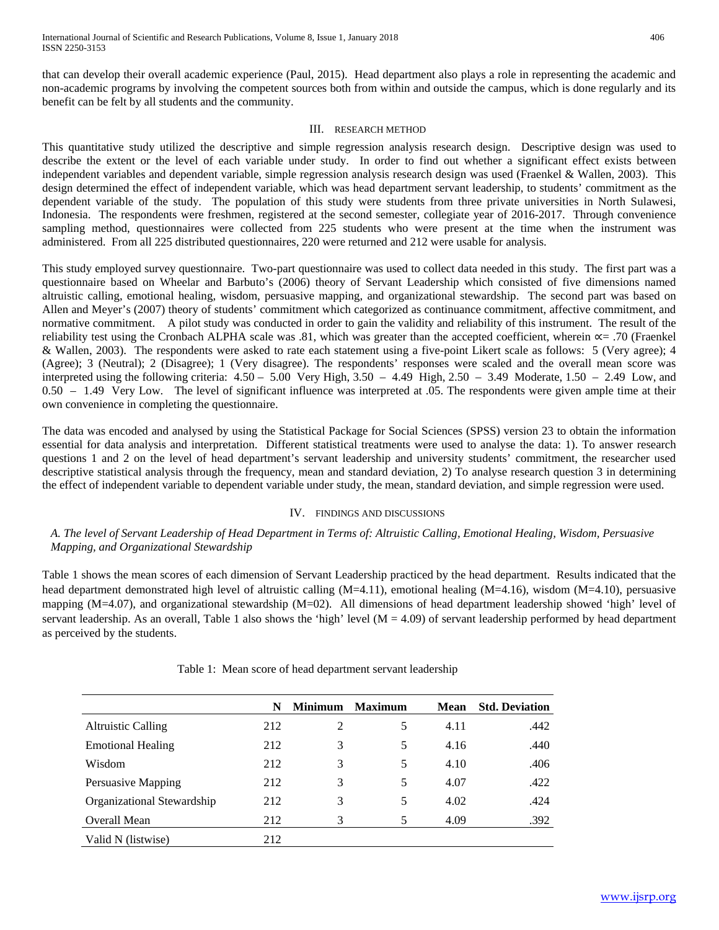that can develop their overall academic experience (Paul, 2015). Head department also plays a role in representing the academic and non-academic programs by involving the competent sources both from within and outside the campus, which is done regularly and its benefit can be felt by all students and the community.

#### III. RESEARCH METHOD

This quantitative study utilized the descriptive and simple regression analysis research design. Descriptive design was used to describe the extent or the level of each variable under study. In order to find out whether a significant effect exists between independent variables and dependent variable, simple regression analysis research design was used (Fraenkel & Wallen, 2003). This design determined the effect of independent variable, which was head department servant leadership, to students' commitment as the dependent variable of the study. The population of this study were students from three private universities in North Sulawesi, Indonesia. The respondents were freshmen, registered at the second semester, collegiate year of 2016-2017. Through convenience sampling method, questionnaires were collected from 225 students who were present at the time when the instrument was administered. From all 225 distributed questionnaires, 220 were returned and 212 were usable for analysis.

This study employed survey questionnaire. Two-part questionnaire was used to collect data needed in this study. The first part was a questionnaire based on Wheelar and Barbuto's (2006) theory of Servant Leadership which consisted of five dimensions named altruistic calling, emotional healing, wisdom, persuasive mapping, and organizational stewardship. The second part was based on Allen and Meyer's (2007) theory of students' commitment which categorized as continuance commitment, affective commitment, and normative commitment. A pilot study was conducted in order to gain the validity and reliability of this instrument. The result of the reliability test using the Cronbach ALPHA scale was .81, which was greater than the accepted coefficient, wherein  $\alpha$ = .70 (Fraenkel & Wallen, 2003). The respondents were asked to rate each statement using a five-point Likert scale as follows: 5 (Very agree); 4 (Agree); 3 (Neutral); 2 (Disagree); 1 (Very disagree). The respondents' responses were scaled and the overall mean score was interpreted using the following criteria:  $4.50 - 5.00$  Very High,  $3.50 - 4.49$  High,  $2.50 - 3.49$  Moderate,  $1.50 - 2.49$  Low, and 0.50 – 1.49 Very Low. The level of significant influence was interpreted at .05. The respondents were given ample time at their own convenience in completing the questionnaire.

The data was encoded and analysed by using the Statistical Package for Social Sciences (SPSS) version 23 to obtain the information essential for data analysis and interpretation. Different statistical treatments were used to analyse the data: 1). To answer research questions 1 and 2 on the level of head department's servant leadership and university students' commitment, the researcher used descriptive statistical analysis through the frequency, mean and standard deviation, 2) To analyse research question 3 in determining the effect of independent variable to dependent variable under study, the mean, standard deviation, and simple regression were used.

#### IV. FINDINGS AND DISCUSSIONS

#### *A. The level of Servant Leadership of Head Department in Terms of: Altruistic Calling, Emotional Healing, Wisdom, Persuasive Mapping, and Organizational Stewardship*

Table 1 shows the mean scores of each dimension of Servant Leadership practiced by the head department. Results indicated that the head department demonstrated high level of altruistic calling (M=4.11), emotional healing (M=4.16), wisdom (M=4.10), persuasive mapping (M=4.07), and organizational stewardship (M=02). All dimensions of head department leadership showed 'high' level of servant leadership. As an overall, Table 1 also shows the 'high' level  $(M = 4.09)$  of servant leadership performed by head department as perceived by the students.

|                            | N   | <b>Minimum</b> | <b>Maximum</b> | <b>Mean</b> | <b>Std. Deviation</b> |
|----------------------------|-----|----------------|----------------|-------------|-----------------------|
| Altruistic Calling         | 212 | 2              | 5              | 4.11        | .442                  |
| <b>Emotional Healing</b>   | 212 | 3              | 5              | 4.16        | .440                  |
| Wisdom                     | 212 | 3              | 5.             | 4.10        | .406                  |
| Persuasive Mapping         | 212 | 3              | 5              | 4.07        | .422                  |
| Organizational Stewardship | 212 | 3              | 5              | 4.02        | .424                  |
| Overall Mean               | 212 | 3              | 5              | 4.09        | .392                  |
| Valid N (listwise)         | 212 |                |                |             |                       |

Table 1: Mean score of head department servant leadership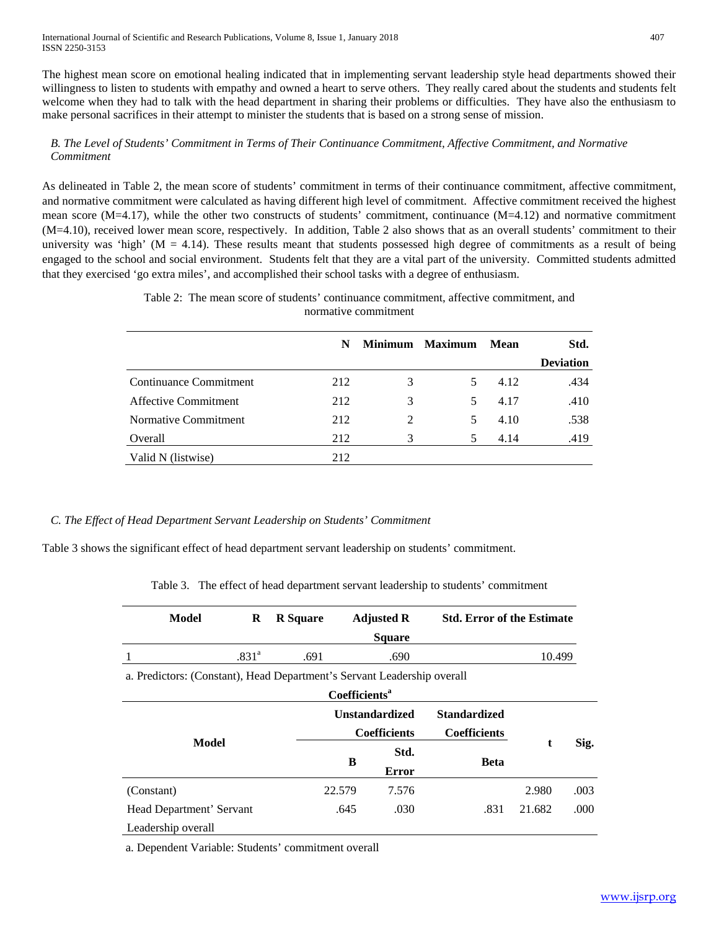The highest mean score on emotional healing indicated that in implementing servant leadership style head departments showed their willingness to listen to students with empathy and owned a heart to serve others. They really cared about the students and students felt welcome when they had to talk with the head department in sharing their problems or difficulties. They have also the enthusiasm to make personal sacrifices in their attempt to minister the students that is based on a strong sense of mission.

## *B. The Level of Students' Commitment in Terms of Their Continuance Commitment, Affective Commitment, and Normative Commitment*

As delineated in Table 2, the mean score of students' commitment in terms of their continuance commitment, affective commitment, and normative commitment were calculated as having different high level of commitment. Affective commitment received the highest mean score (M=4.17), while the other two constructs of students' commitment, continuance (M=4.12) and normative commitment (M=4.10), received lower mean score, respectively. In addition, Table 2 also shows that as an overall students' commitment to their university was 'high' ( $M = 4.14$ ). These results meant that students possessed high degree of commitments as a result of being engaged to the school and social environment. Students felt that they are a vital part of the university. Committed students admitted that they exercised 'go extra miles', and accomplished their school tasks with a degree of enthusiasm.

|                             | N   |                | Minimum Maximum | Mean | Std.             |
|-----------------------------|-----|----------------|-----------------|------|------------------|
|                             |     |                |                 |      | <b>Deviation</b> |
| Continuance Commitment      | 212 | 3              | 5               | 4.12 | .434             |
| <b>Affective Commitment</b> | 212 | 3              | .5              | 4.17 | .410             |
| Normative Commitment        | 212 | $\mathfrak{D}$ | 5.              | 4.10 | .538             |
| Overall                     | 212 | 3              | 5               | 4.14 | .419             |
| Valid N (listwise)          | 212 |                |                 |      |                  |

Table 2: The mean score of students' continuance commitment, affective commitment, and normative commitment

## *C. The Effect of Head Department Servant Leadership on Students' Commitment*

Table 3 shows the significant effect of head department servant leadership on students' commitment.

Table 3. The effect of head department servant leadership to students' commitment

| Model                                                                   | R                 | <b>R</b> Square |        | <b>Adjusted R</b><br><b>Square</b> | <b>Std. Error of the Estimate</b> |        |      |  |
|-------------------------------------------------------------------------|-------------------|-----------------|--------|------------------------------------|-----------------------------------|--------|------|--|
|                                                                         | .831 <sup>a</sup> | .691            |        | .690                               |                                   | 10.499 |      |  |
| a. Predictors: (Constant), Head Department's Servant Leadership overall |                   |                 |        |                                    |                                   |        |      |  |
| Coefficients <sup>a</sup>                                               |                   |                 |        |                                    |                                   |        |      |  |
|                                                                         |                   |                 |        | <b>Unstandardized</b>              | <b>Standardized</b>               |        |      |  |
|                                                                         |                   |                 |        | <b>Coefficients</b>                | <b>Coefficients</b>               |        |      |  |
| Model                                                                   |                   |                 | Std.   |                                    | t                                 | Sig.   |      |  |
|                                                                         |                   |                 | B      | Error                              | <b>Beta</b>                       |        |      |  |
| (Constant)                                                              |                   |                 | 22.579 | 7.576                              |                                   | 2.980  | .003 |  |
| Head Department' Servant                                                |                   |                 | .645   | .030                               | .831                              | 21.682 | .000 |  |
| Leadership overall                                                      |                   |                 |        |                                    |                                   |        |      |  |

a. Dependent Variable: Students' commitment overall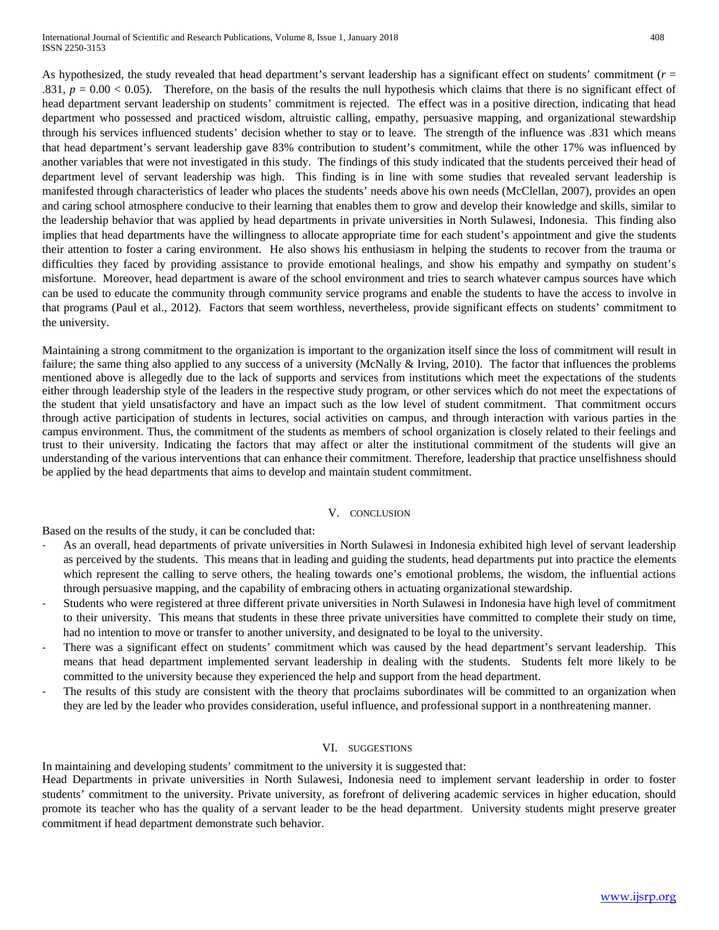As hypothesized, the study revealed that head department's servant leadership has a significant effect on students' commitment (*r* = .831,  $p = 0.00 < 0.05$ ). Therefore, on the basis of the results the null hypothesis which claims that there is no significant effect of head department servant leadership on students' commitment is rejected. The effect was in a positive direction, indicating that head department who possessed and practiced wisdom, altruistic calling, empathy, persuasive mapping, and organizational stewardship through his services influenced students' decision whether to stay or to leave. The strength of the influence was .831 which means that head department's servant leadership gave 83% contribution to student's commitment, while the other 17% was influenced by another variables that were not investigated in this study. The findings of this study indicated that the students perceived their head of department level of servant leadership was high. This finding is in line with some studies that revealed servant leadership is manifested through characteristics of leader who places the students' needs above his own needs (McClellan, 2007), provides an open and caring school atmosphere conducive to their learning that enables them to grow and develop their knowledge and skills, similar to the leadership behavior that was applied by head departments in private universities in North Sulawesi, Indonesia. This finding also implies that head departments have the willingness to allocate appropriate time for each student's appointment and give the students their attention to foster a caring environment. He also shows his enthusiasm in helping the students to recover from the trauma or difficulties they faced by providing assistance to provide emotional healings, and show his empathy and sympathy on student's misfortune. Moreover, head department is aware of the school environment and tries to search whatever campus sources have which can be used to educate the community through community service programs and enable the students to have the access to involve in that programs (Paul et al., 2012). Factors that seem worthless, nevertheless, provide significant effects on students' commitment to the university.

Maintaining a strong commitment to the organization is important to the organization itself since the loss of commitment will result in failure; the same thing also applied to any success of a university (McNally & Irving, 2010). The factor that influences the problems mentioned above is allegedly due to the lack of supports and services from institutions which meet the expectations of the students either through leadership style of the leaders in the respective study program, or other services which do not meet the expectations of the student that yield unsatisfactory and have an impact such as the low level of student commitment. That commitment occurs through active participation of students in lectures, social activities on campus, and through interaction with various parties in the campus environment. Thus, the commitment of the students as members of school organization is closely related to their feelings and trust to their university. Indicating the factors that may affect or alter the institutional commitment of the students will give an understanding of the various interventions that can enhance their commitment. Therefore, leadership that practice unselfishness should be applied by the head departments that aims to develop and maintain student commitment.

## V. CONCLUSION

Based on the results of the study, it can be concluded that:

- As an overall, head departments of private universities in North Sulawesi in Indonesia exhibited high level of servant leadership as perceived by the students. This means that in leading and guiding the students, head departments put into practice the elements which represent the calling to serve others, the healing towards one's emotional problems, the wisdom, the influential actions through persuasive mapping, and the capability of embracing others in actuating organizational stewardship.
- Students who were registered at three different private universities in North Sulawesi in Indonesia have high level of commitment to their university. This means that students in these three private universities have committed to complete their study on time, had no intention to move or transfer to another university, and designated to be loyal to the university.
- There was a significant effect on students' commitment which was caused by the head department's servant leadership. This means that head department implemented servant leadership in dealing with the students. Students felt more likely to be committed to the university because they experienced the help and support from the head department.
- The results of this study are consistent with the theory that proclaims subordinates will be committed to an organization when they are led by the leader who provides consideration, useful influence, and professional support in a nonthreatening manner.

#### VI. SUGGESTIONS

In maintaining and developing students' commitment to the university it is suggested that:

Head Departments in private universities in North Sulawesi, Indonesia need to implement servant leadership in order to foster students' commitment to the university. Private university, as forefront of delivering academic services in higher education, should promote its teacher who has the quality of a servant leader to be the head department. University students might preserve greater commitment if head department demonstrate such behavior.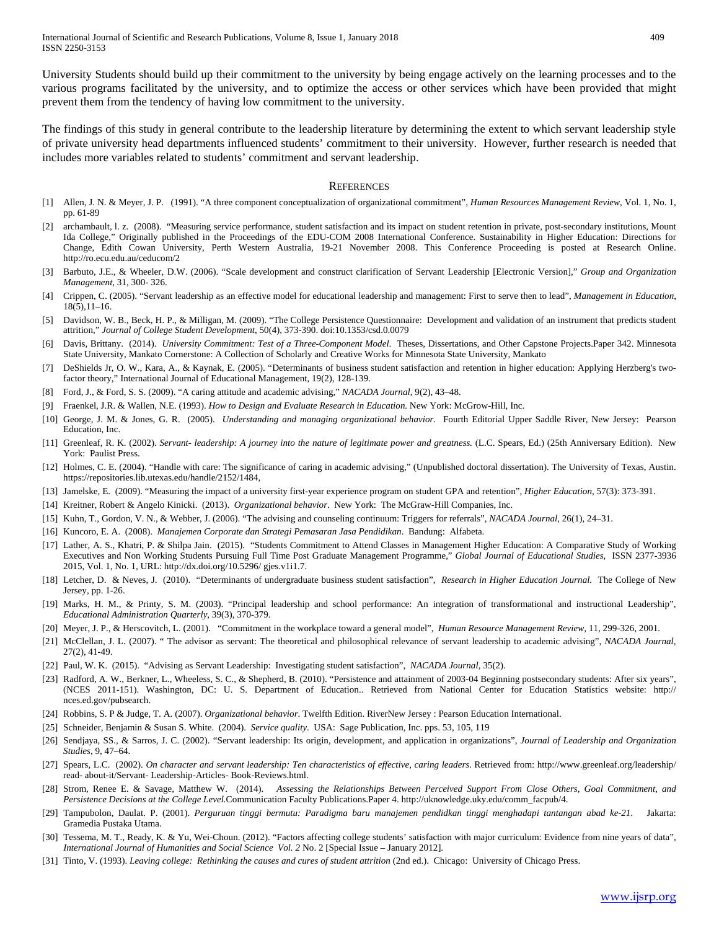University Students should build up their commitment to the university by being engage actively on the learning processes and to the various programs facilitated by the university, and to optimize the access or other services which have been provided that might prevent them from the tendency of having low commitment to the university.

The findings of this study in general contribute to the leadership literature by determining the extent to which servant leadership style of private university head departments influenced students' commitment to their university. However, further research is needed that includes more variables related to students' commitment and servant leadership.

#### **REFERENCES**

- [1] Allen, J. N. & Meyer, J. P. (1991). "A three component conceptualization of organizational commitment", *Human Resources Management Review*, Vol. 1, No. 1, pp. 61-89
- [2] archambault, l. z. (2008). "Measuring service performance, student satisfaction and its impact on student retention in private, post-secondary institutions, Mount Ida College," Originally published in the Proceedings of the EDU-COM 2008 International Conference. Sustainability in Higher Education: Directions for Change, Edith Cowan University, Perth Western Australia, 19-21 November 2008. This Conference Proceeding is posted at Research Online. <http://ro.ecu.edu.au/ceducom/2>
- [3] Barbuto, J.E., & Wheeler, D.W. (2006). "Scale development and construct clarification of Servant Leadership [Electronic Version]," *Group and Organization Management*, 31, 300- 326.
- [4] Crippen, C. (2005). "Servant leadership as an effective model for educational leadership and management: First to serve then to lead", *Management in Education*, 18(5),11–16.
- [5] Davidson, W. B., Beck, H. P., & Milligan, M. (2009). "The College Persistence Questionnaire: Development and validation of an instrument that predicts student attrition," *Journal of College Student Development*, 50(4), 373-390. doi:10.1353/csd.0.0079
- [6] Davis, Brittany. (2014). *University Commitment: Test of a Three-Component Model*. Theses, Dissertations, and Other Capstone Projects.Paper 342. Minnesota State University, Mankato Cornerstone: A Collection of Scholarly and Creative Works for Minnesota State University, Mankato
- [7] DeShields Jr, O. W., Kara, A., & Kaynak, E. (2005). "Determinants of business student satisfaction and retention in higher education: Applying Herzberg's twofactor theory," International Journal of Educational Management, 19(2), 128-139.
- [8] Ford, J., & Ford, S. S. (2009). "A caring attitude and academic advising," *NACADA Journal*, 9(2), 43–48.
- [9] Fraenkel, J.R. & Wallen, N.E. (1993). *How to Design and Evaluate Research in Education.* New York: McGrow-Hill, Inc.
- [10] George, J. M. & Jones, G. R. (2005). *Understanding and managing organizational behavior.* Fourth Editorial Upper Saddle River, New Jersey: Pearson Education, Inc.
- [11] Greenleaf, R. K. (2002). *Servant- leadership: A journey into the nature of legitimate power and greatness.* (L.C. Spears, Ed.) (25th Anniversary Edition). New York: Paulist Press.
- [12] Holmes, C. E. (2004). "Handle with care: The significance of caring in academic advising," (Unpublished doctoral dissertation). The University of Texas, Austin. https://repositories.lib.utexas.edu/handle/2152/1484,
- [13] Jamelske, E. (2009). "Measuring the impact of a university first-year experience program on student GPA and retention", *Higher Education,* 57(3): 373-391.
- [14] Kreitner, Robert & Angelo Kinicki. (2013). *Organizational behavior*. New York: The McGraw-Hill Companies, Inc.
- [15] Kuhn, T., Gordon, V. N., & Webber, J. (2006). "The advising and counseling continuum: Triggers for referrals", *NACADA Journal*, 26(1), 24–31.
- [16] Kuncoro, E. A. (2008). *Manajemen Corporate dan Strategi Pemasaran Jasa Pendidikan*. Bandung: Alfabeta.
- [17] Lather, A. S., Khatri, P. & Shilpa Jain. (2015). "Students Commitment to Attend Classes in Management Higher Education: A Comparative Study of Working Executives and Non Working Students Pursuing Full Time Post Graduate Management Programme," *Global Journal of Educational Studies*, ISSN 2377-3936 2015, Vol. 1, No. 1, URL: http://dx.doi.org/10.5296/ gjes.v1i1.7.
- [18] Letcher, D. & Neves, J. (2010). "Determinants of undergraduate business student satisfaction", *Research in Higher Education Journal.* The College of New Jersey, pp. 1-26.
- [19] Marks, H. M., & Printy, S. M. (2003). "Principal leadership and school performance: An integration of transformational and instructional Leadership", *Educational Administration Quarterly*, 39(3), 370-379.
- [20] Meyer, J. P., & Herscovitch, L. (2001). "Commitment in the workplace toward a general model", *Human Resource Management Review,* 11, 299-326, 2001.
- [21] McClellan, J. L. (2007). " The advisor as servant: The theoretical and philosophical relevance of servant leadership to academic advising", *NACADA Journal*, 27(2), 41-49.
- [22] Paul, W. K. (2015). "Advising as Servant Leadership: Investigating student satisfaction", *NACADA Journal,* 35(2).
- [23] Radford, A. W., Berkner, L., Wheeless, S. C., & Shepherd, B. (2010). "Persistence and attainment of 2003-04 Beginning postsecondary students: After six years", (NCES 2011-151). Washington, DC: U. S. Department of Education.. Retrieved from National Center for Education Statistics website: http:// nces.ed.gov/pubsearch.
- [24] Robbins, S. P & Judge, T. A. (2007). *Organizational behavior*. Twelfth Edition. RiverNew Jersey : Pearson Education International.
- [25] Schneider, Benjamin & Susan S. White. (2004). *Service quality*. USA: Sage Publication, Inc. pps. 53, 105, 119
- [26] Sendjaya, SS., & Sarros, J. C. (2002). "Servant leadership: Its origin, development, and application in organizations", *Journal of Leadership and Organization Studies*, 9, 47–64.
- [27] Spears, L.C. (2002). *On character and servant leadership: Ten characteristics of effective, caring leaders*. Retrieved from: http://www.greenleaf.org/leadership/ read- about-it/Servant- Leadership-Articles- Book-Reviews.html.
- [28] Strom, Renee E. & Savage, Matthew W. (2014). *Assessing the Relationships Between Perceived Support From Close Others, Goal Commitment, and Persistence Decisions at the College Level.*Communication Faculty Publications.Paper 4. [http://uknowledge.uky.edu/comm\\_facpub/4.](http://uknowledge.uky.edu/comm_facpub/4)
- [29] Tampubolon, Daulat. P. (2001). *Perguruan tinggi bermutu: Paradigma baru manajemen pendidkan tinggi menghadapi tantangan abad ke-21.* Jakarta: Gramedia Pustaka Utama.
- [30] Tessema, M. T., Ready, K. & Yu, Wei-Choun. (2012). "Factors affecting college students' satisfaction with major curriculum: Evidence from nine years of data", *International Journal of Humanities and Social Science Vol. 2* No. 2 [Special Issue – January 2012].
- [31] Tinto, V. (1993). *Leaving college: Rethinking the causes and cures of student attrition* (2nd ed.). Chicago: University of Chicago Press.